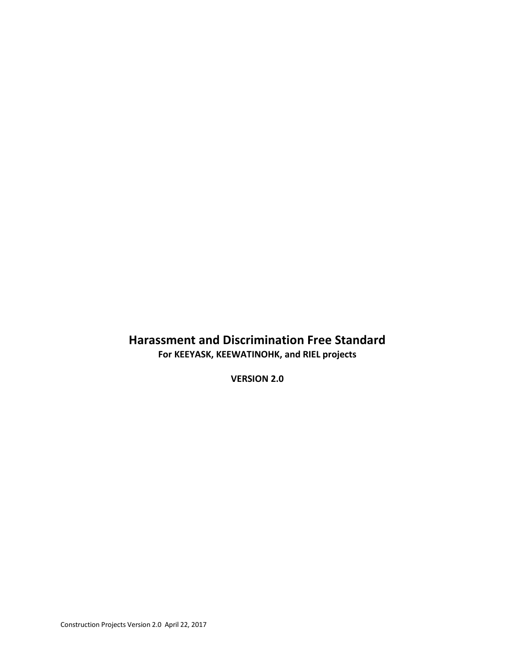# **Harassment and Discrimination Free Standard For KEEYASK, KEEWATINOHK, and RIEL projects**

**VERSION 2.0**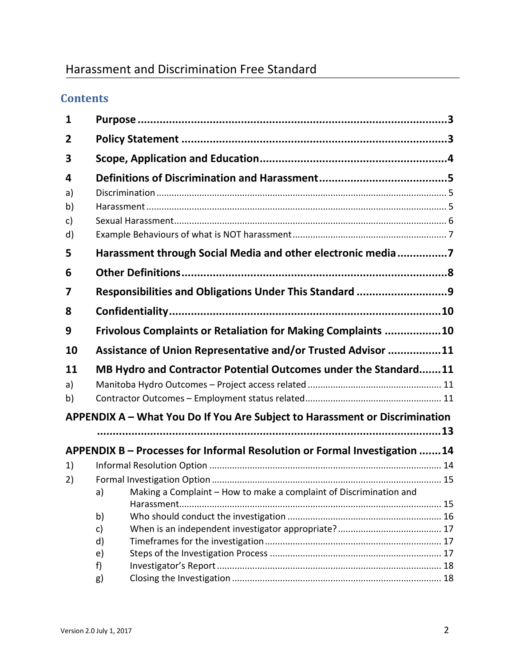# Harassment and Discrimination Free Standard

# **Contents**

| 1  |                                                                 |                                                                             |  |  |  |
|----|-----------------------------------------------------------------|-----------------------------------------------------------------------------|--|--|--|
| 2  |                                                                 |                                                                             |  |  |  |
| 3  |                                                                 |                                                                             |  |  |  |
| 4  |                                                                 |                                                                             |  |  |  |
| a) |                                                                 |                                                                             |  |  |  |
| b) |                                                                 |                                                                             |  |  |  |
| c) |                                                                 |                                                                             |  |  |  |
| d) |                                                                 |                                                                             |  |  |  |
| 5  | Harassment through Social Media and other electronic media7     |                                                                             |  |  |  |
| 6  |                                                                 |                                                                             |  |  |  |
| 7  | Responsibilities and Obligations Under This Standard 9          |                                                                             |  |  |  |
| 8  |                                                                 |                                                                             |  |  |  |
| 9  |                                                                 | Frivolous Complaints or Retaliation for Making Complaints 10                |  |  |  |
| 10 | Assistance of Union Representative and/or Trusted Advisor 11    |                                                                             |  |  |  |
| 11 | MB Hydro and Contractor Potential Outcomes under the Standard11 |                                                                             |  |  |  |
| a) |                                                                 |                                                                             |  |  |  |
| b) |                                                                 |                                                                             |  |  |  |
|    |                                                                 | APPENDIX A - What You Do If You Are Subject to Harassment or Discrimination |  |  |  |
|    |                                                                 |                                                                             |  |  |  |
|    |                                                                 | APPENDIX B - Processes for Informal Resolution or Formal Investigation 14   |  |  |  |
| 1) |                                                                 |                                                                             |  |  |  |
| 2) |                                                                 |                                                                             |  |  |  |
|    | a)                                                              | Making a Complaint – How to make a complaint of Discrimination and          |  |  |  |
|    | Harassment                                                      |                                                                             |  |  |  |
|    | b)                                                              |                                                                             |  |  |  |
|    | c)<br>d)                                                        |                                                                             |  |  |  |
|    | e)                                                              |                                                                             |  |  |  |
|    | f)                                                              |                                                                             |  |  |  |
|    | g)                                                              |                                                                             |  |  |  |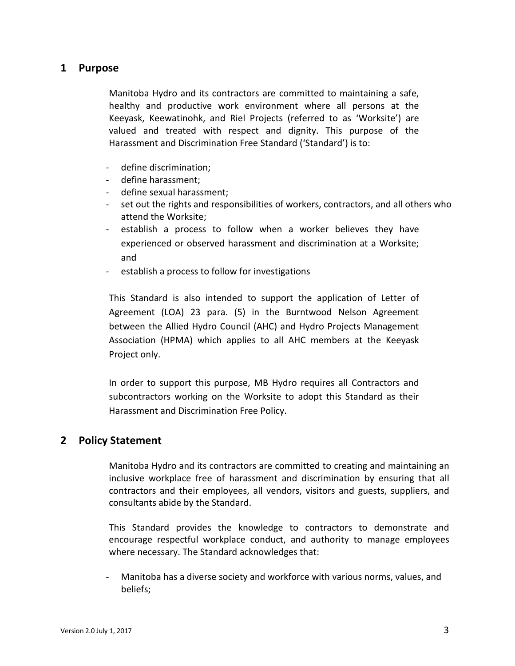## <span id="page-2-0"></span>**1 Purpose**

Manitoba Hydro and its contractors are committed to maintaining a safe, healthy and productive work environment where all persons at the Keeyask, Keewatinohk, and Riel Projects (referred to as 'Worksite') are valued and treated with respect and dignity. This purpose of the Harassment and Discrimination Free Standard ('Standard') is to:

- define discrimination;
- define harassment;
- define sexual harassment;
- set out the rights and responsibilities of workers, contractors, and all others who attend the Worksite;
- establish a process to follow when a worker believes they have experienced or observed harassment and discrimination at a Worksite; and
- establish a process to follow for investigations

This Standard is also intended to support the application of Letter of Agreement (LOA) 23 para. (5) in the Burntwood Nelson Agreement between the Allied Hydro Council (AHC) and Hydro Projects Management Association (HPMA) which applies to all AHC members at the Keeyask Project only.

In order to support this purpose, MB Hydro requires all Contractors and subcontractors working on the Worksite to adopt this Standard as their Harassment and Discrimination Free Policy.

### <span id="page-2-1"></span>**2 Policy Statement**

Manitoba Hydro and its contractors are committed to creating and maintaining an inclusive workplace free of harassment and discrimination by ensuring that all contractors and their employees, all vendors, visitors and guests, suppliers, and consultants abide by the Standard.

This Standard provides the knowledge to contractors to demonstrate and encourage respectful workplace conduct, and authority to manage employees where necessary. The Standard acknowledges that:

- Manitoba has a diverse society and workforce with various norms, values, and beliefs;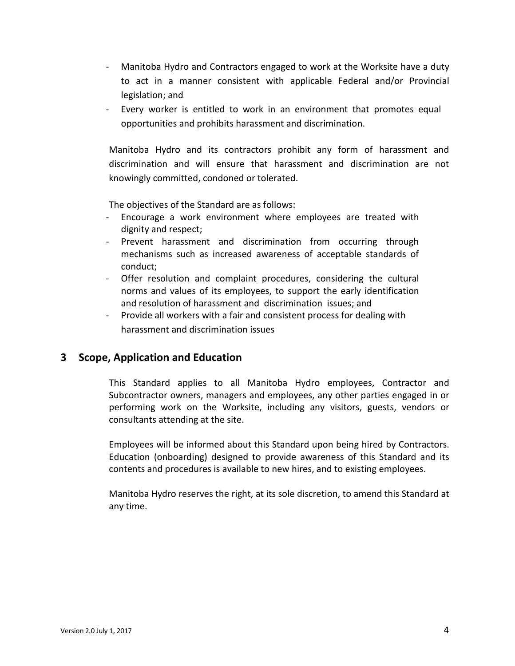- Manitoba Hydro and Contractors engaged to work at the Worksite have a duty to act in a manner consistent with applicable Federal and/or Provincial legislation; and
- Every worker is entitled to work in an environment that promotes equal opportunities and prohibits harassment and discrimination.

Manitoba Hydro and its contractors prohibit any form of harassment and discrimination and will ensure that harassment and discrimination are not knowingly committed, condoned or tolerated.

The objectives of the Standard are as follows:

- Encourage a work environment where employees are treated with dignity and respect;
- Prevent harassment and discrimination from occurring through mechanisms such as increased awareness of acceptable standards of conduct;
- Offer resolution and complaint procedures, considering the cultural norms and values of its employees, to support the early identification and resolution of harassment and discrimination issues; and
- Provide all workers with a fair and consistent process for dealing with harassment and discrimination issues

## <span id="page-3-0"></span>**3 Scope, Application and Education**

This Standard applies to all Manitoba Hydro employees, Contractor and Subcontractor owners, managers and employees, any other parties engaged in or performing work on the Worksite, including any visitors, guests, vendors or consultants attending at the site.

Employees will be informed about this Standard upon being hired by Contractors. Education (onboarding) designed to provide awareness of this Standard and its contents and procedures is available to new hires, and to existing employees.

Manitoba Hydro reserves the right, at its sole discretion, to amend this Standard at any time.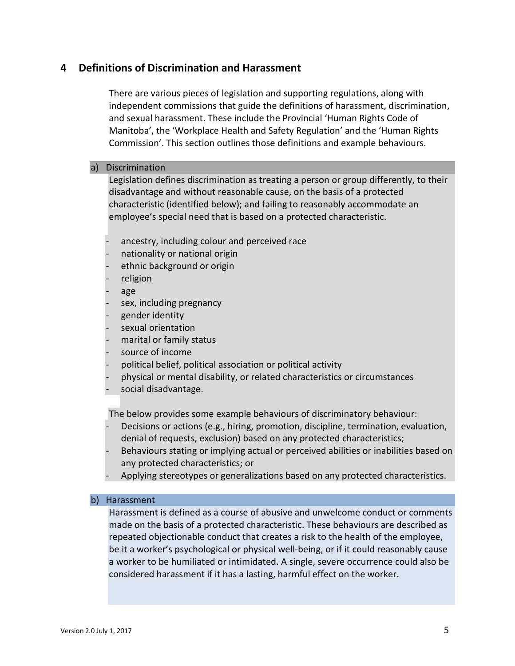## <span id="page-4-0"></span>**4 Definitions of Discrimination and Harassment**

There are various pieces of legislation and supporting regulations, along with independent commissions that guide the definitions of harassment, discrimination, and sexual harassment. These include the Provincial 'Human Rights Code of Manitoba', the 'Workplace Health and Safety Regulation' and the 'Human Rights Commission'. This section outlines those definitions and example behaviours.

### <span id="page-4-1"></span>a) Discrimination

Legislation defines discrimination as treating a person or group differently, to their disadvantage and without reasonable cause, on the basis of a protected characteristic (identified below); and failing to reasonably accommodate an employee's special need that is based on a protected characteristic.

- ancestry, including colour and perceived race
- nationality or national origin
- ethnic background or origin
- religion
- age
- sex, including pregnancy
- gender identity
- sexual orientation
- marital or family status
- source of income
- political belief, political association or political activity
- physical or mental disability, or related characteristics or circumstances
- social disadvantage.

The below provides some example behaviours of discriminatory behaviour:

- Decisions or actions (e.g., hiring, promotion, discipline, termination, evaluation, denial of requests, exclusion) based on any protected characteristics;
- Behaviours stating or implying actual or perceived abilities or inabilities based on any protected characteristics; or
- Applying stereotypes or generalizations based on any protected characteristics.

#### <span id="page-4-2"></span>b) Harassment

Harassment is defined as a course of abusive and unwelcome conduct or comments made on the basis of a protected characteristic. These behaviours are described as repeated objectionable conduct that creates a risk to the health of the employee, be it a worker's psychological or physical well-being, or if it could reasonably cause a worker to be humiliated or intimidated. A single, severe occurrence could also be considered harassment if it has a lasting, harmful effect on the worker.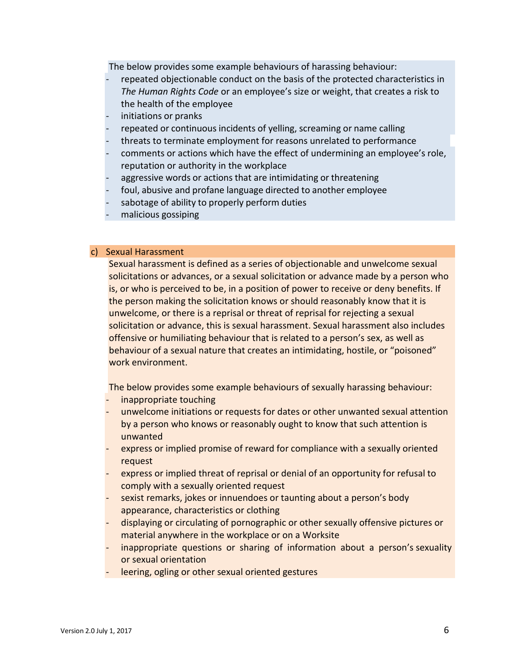The below provides some example behaviours of harassing behaviour:

- repeated objectionable conduct on the basis of the protected characteristics in *The Human Rights Code* or an employee's size or weight, that creates a risk to the health of the employee
- initiations or pranks
- repeated or continuous incidents of yelling, screaming or name calling
- threats to terminate employment for reasons unrelated to performance
- comments or actions which have the effect of undermining an employee's role, reputation or authority in the workplace
- aggressive words or actions that are intimidating or threatening
- foul, abusive and profane language directed to another employee
- sabotage of ability to properly perform duties
- malicious gossiping

#### <span id="page-5-0"></span>c) Sexual Harassment

Sexual harassment is defined as a series of objectionable and unwelcome sexual solicitations or advances, or a sexual solicitation or advance made by a person who is, or who is perceived to be, in a position of power to receive or deny benefits. If the person making the solicitation knows or should reasonably know that it is unwelcome, or there is a reprisal or threat of reprisal for rejecting a sexual solicitation or advance, this is sexual harassment. Sexual harassment also includes offensive or humiliating behaviour that is related to a person's sex, as well as behaviour of a sexual nature that creates an intimidating, hostile, or "poisoned" work environment.

The below provides some example behaviours of sexually harassing behaviour:

- inappropriate touching
- unwelcome initiations or requests for dates or other unwanted sexual attention by a person who knows or reasonably ought to know that such attention is unwanted
- express or implied promise of reward for compliance with a sexually oriented request
- express or implied threat of reprisal or denial of an opportunity for refusal to comply with a sexually oriented request
- sexist remarks, jokes or innuendoes or taunting about a person's body appearance, characteristics or clothing
- displaying or circulating of pornographic or other sexually offensive pictures or material anywhere in the workplace or on a Worksite
- inappropriate questions or sharing of information about a person's sexuality or sexual orientation
- leering, ogling or other sexual oriented gestures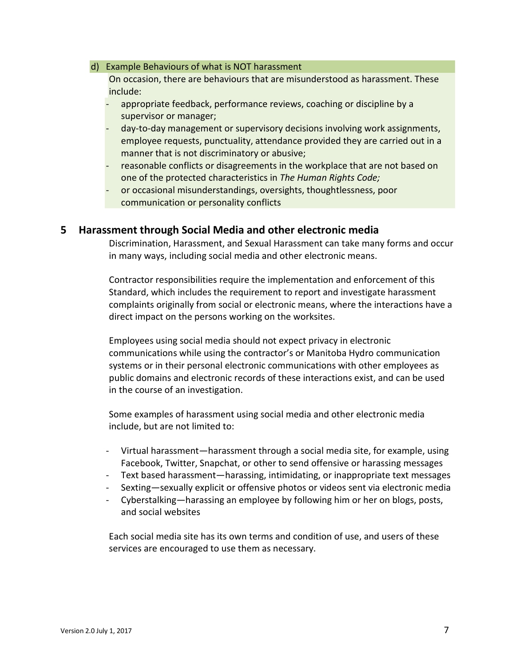#### <span id="page-6-0"></span>d) Example Behaviours of what is NOT harassment

On occasion, there are behaviours that are misunderstood as harassment. These include:

- appropriate feedback, performance reviews, coaching or discipline by a supervisor or manager;
- day-to-day management or supervisory decisions involving work assignments, employee requests, punctuality, attendance provided they are carried out in a manner that is not discriminatory or abusive;
- reasonable conflicts or disagreements in the workplace that are not based on one of the protected characteristics in *The Human Rights Code;*
- or occasional misunderstandings, oversights, thoughtlessness, poor communication or personality conflicts

### <span id="page-6-1"></span>**5 Harassment through Social Media and other electronic media**

Discrimination, Harassment, and Sexual Harassment can take many forms and occur in many ways, including social media and other electronic means.

Contractor responsibilities require the implementation and enforcement of this Standard, which includes the requirement to report and investigate harassment complaints originally from social or electronic means, where the interactions have a direct impact on the persons working on the worksites.

Employees using social media should not expect privacy in electronic communications while using the contractor's or Manitoba Hydro communication systems or in their personal electronic communications with other employees as public domains and electronic records of these interactions exist, and can be used in the course of an investigation.

Some examples of harassment using social media and other electronic media include, but are not limited to:

- Virtual harassment—harassment through a social media site, for example, using Facebook, Twitter, Snapchat, or other to send offensive or harassing messages
- Text based harassment—harassing, intimidating, or inappropriate text messages
- Sexting—sexually explicit or offensive photos or videos sent via electronic media
- Cyberstalking—harassing an employee by following him or her on blogs, posts, and social websites

Each social media site has its own terms and condition of use, and users of these services are encouraged to use them as necessary.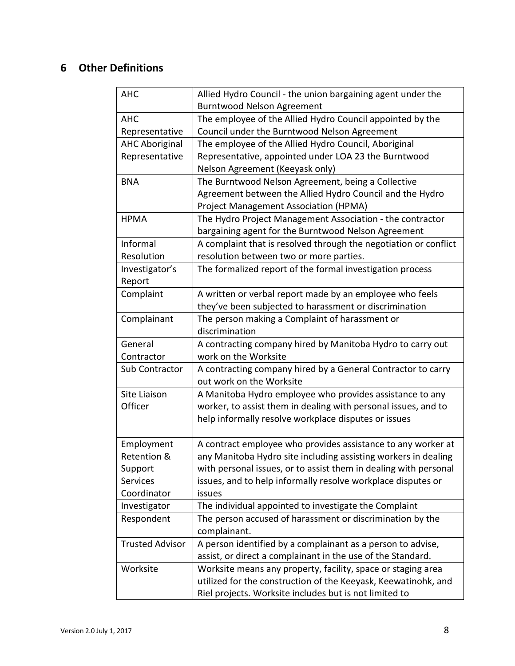# <span id="page-7-0"></span>**6 Other Definitions**

| <b>AHC</b>             | Allied Hydro Council - the union bargaining agent under the      |  |
|------------------------|------------------------------------------------------------------|--|
|                        | <b>Burntwood Nelson Agreement</b>                                |  |
| <b>AHC</b>             | The employee of the Allied Hydro Council appointed by the        |  |
| Representative         | Council under the Burntwood Nelson Agreement                     |  |
| <b>AHC Aboriginal</b>  | The employee of the Allied Hydro Council, Aboriginal             |  |
| Representative         | Representative, appointed under LOA 23 the Burntwood             |  |
|                        | Nelson Agreement (Keeyask only)                                  |  |
| <b>BNA</b>             | The Burntwood Nelson Agreement, being a Collective               |  |
|                        | Agreement between the Allied Hydro Council and the Hydro         |  |
|                        | Project Management Association (HPMA)                            |  |
| <b>HPMA</b>            | The Hydro Project Management Association - the contractor        |  |
|                        | bargaining agent for the Burntwood Nelson Agreement              |  |
| Informal               | A complaint that is resolved through the negotiation or conflict |  |
| Resolution             | resolution between two or more parties.                          |  |
| Investigator's         | The formalized report of the formal investigation process        |  |
| Report                 |                                                                  |  |
| Complaint              | A written or verbal report made by an employee who feels         |  |
|                        | they've been subjected to harassment or discrimination           |  |
| Complainant            | The person making a Complaint of harassment or                   |  |
|                        | discrimination                                                   |  |
| General                | A contracting company hired by Manitoba Hydro to carry out       |  |
| Contractor             | work on the Worksite                                             |  |
| Sub Contractor         | A contracting company hired by a General Contractor to carry     |  |
|                        | out work on the Worksite                                         |  |
| Site Liaison           | A Manitoba Hydro employee who provides assistance to any         |  |
| Officer                | worker, to assist them in dealing with personal issues, and to   |  |
|                        | help informally resolve workplace disputes or issues             |  |
|                        |                                                                  |  |
| Employment             | A contract employee who provides assistance to any worker at     |  |
| Retention &            | any Manitoba Hydro site including assisting workers in dealing   |  |
| Support                | with personal issues, or to assist them in dealing with personal |  |
| Services               | issues, and to help informally resolve workplace disputes or     |  |
| Coordinator            | issues                                                           |  |
| Investigator           | The individual appointed to investigate the Complaint            |  |
| Respondent             | The person accused of harassment or discrimination by the        |  |
|                        | complainant.                                                     |  |
| <b>Trusted Advisor</b> | A person identified by a complainant as a person to advise,      |  |
|                        | assist, or direct a complainant in the use of the Standard.      |  |
| Worksite               | Worksite means any property, facility, space or staging area     |  |
|                        | utilized for the construction of the Keeyask, Keewatinohk, and   |  |
|                        | Riel projects. Worksite includes but is not limited to           |  |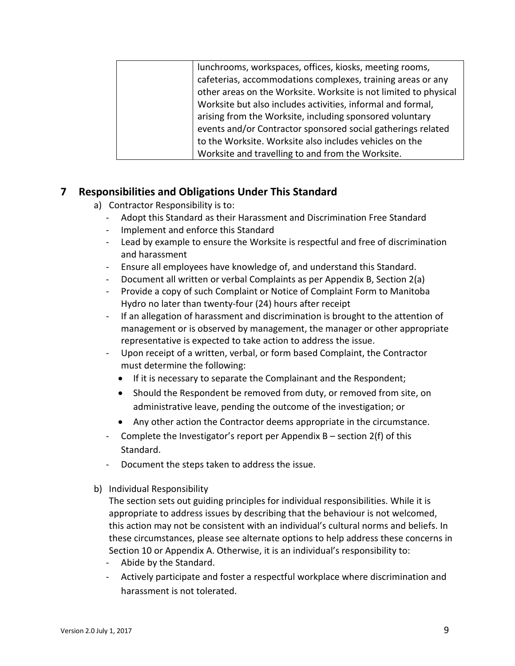| lunchrooms, workspaces, offices, kiosks, meeting rooms,          |
|------------------------------------------------------------------|
| cafeterias, accommodations complexes, training areas or any      |
| other areas on the Worksite. Worksite is not limited to physical |
| Worksite but also includes activities, informal and formal,      |
| arising from the Worksite, including sponsored voluntary         |
| events and/or Contractor sponsored social gatherings related     |
| to the Worksite. Worksite also includes vehicles on the          |
| Worksite and travelling to and from the Worksite.                |

## <span id="page-8-0"></span>**7 Responsibilities and Obligations Under This Standard**

- a) Contractor Responsibility is to:
	- Adopt this Standard as their Harassment and Discrimination Free Standard
	- Implement and enforce this Standard
	- Lead by example to ensure the Worksite is respectful and free of discrimination and harassment
	- Ensure all employees have knowledge of, and understand this Standard.
	- Document all written or verbal Complaints as per Appendix B, Section 2(a)
	- Provide a copy of such Complaint or Notice of Complaint Form to Manitoba Hydro no later than twenty-four (24) hours after receipt
	- If an allegation of harassment and discrimination is brought to the attention of management or is observed by management, the manager or other appropriate representative is expected to take action to address the issue.
	- Upon receipt of a written, verbal, or form based Complaint, the Contractor must determine the following:
		- If it is necessary to separate the Complainant and the Respondent;
		- Should the Respondent be removed from duty, or removed from site, on administrative leave, pending the outcome of the investigation; or
		- Any other action the Contractor deems appropriate in the circumstance.
	- Complete the Investigator's report per Appendix B section 2(f) of this Standard.
	- Document the steps taken to address the issue.
- b) Individual Responsibility

The section sets out guiding principles for individual responsibilities. While it is appropriate to address issues by describing that the behaviour is not welcomed, this action may not be consistent with an individual's cultural norms and beliefs. In these circumstances, please see alternate options to help address these concerns in Section 10 or Appendix A. Otherwise, it is an individual's responsibility to:

- Abide by the Standard.
- Actively participate and foster a respectful workplace where discrimination and harassment is not tolerated.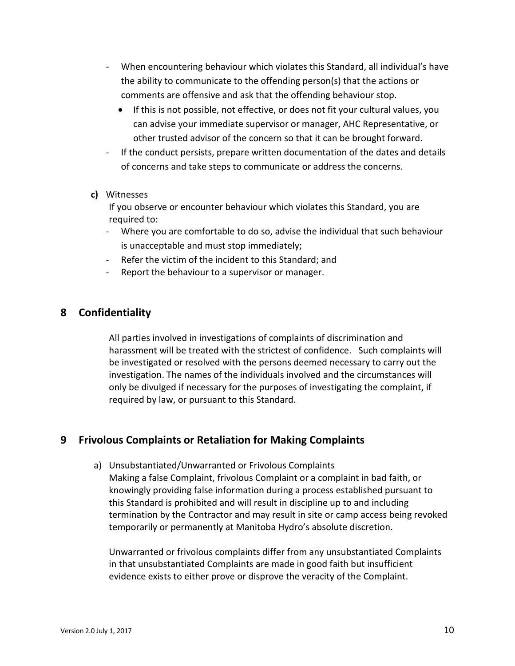- When encountering behaviour which violates this Standard, all individual's have the ability to communicate to the offending person(s) that the actions or comments are offensive and ask that the offending behaviour stop.
	- If this is not possible, not effective, or does not fit your cultural values, you can advise your immediate supervisor or manager, AHC Representative, or other trusted advisor of the concern so that it can be brought forward.
- If the conduct persists, prepare written documentation of the dates and details of concerns and take steps to communicate or address the concerns.

### **c)** Witnesses

If you observe or encounter behaviour which violates this Standard, you are required to:

- Where you are comfortable to do so, advise the individual that such behaviour is unacceptable and must stop immediately;
- Refer the victim of the incident to this Standard; and
- Report the behaviour to a supervisor or manager.

## <span id="page-9-0"></span>**8 Confidentiality**

All parties involved in investigations of complaints of discrimination and harassment will be treated with the strictest of confidence. Such complaints will be investigated or resolved with the persons deemed necessary to carry out the investigation. The names of the individuals involved and the circumstances will only be divulged if necessary for the purposes of investigating the complaint, if required by law, or pursuant to this Standard.

## <span id="page-9-1"></span>**9 Frivolous Complaints or Retaliation for Making Complaints**

a) Unsubstantiated/Unwarranted or Frivolous Complaints Making a false Complaint, frivolous Complaint or a complaint in bad faith, or knowingly providing false information during a process established pursuant to this Standard is prohibited and will result in discipline up to and including termination by the Contractor and may result in site or camp access being revoked temporarily or permanently at Manitoba Hydro's absolute discretion.

Unwarranted or frivolous complaints differ from any unsubstantiated Complaints in that unsubstantiated Complaints are made in good faith but insufficient evidence exists to either prove or disprove the veracity of the Complaint.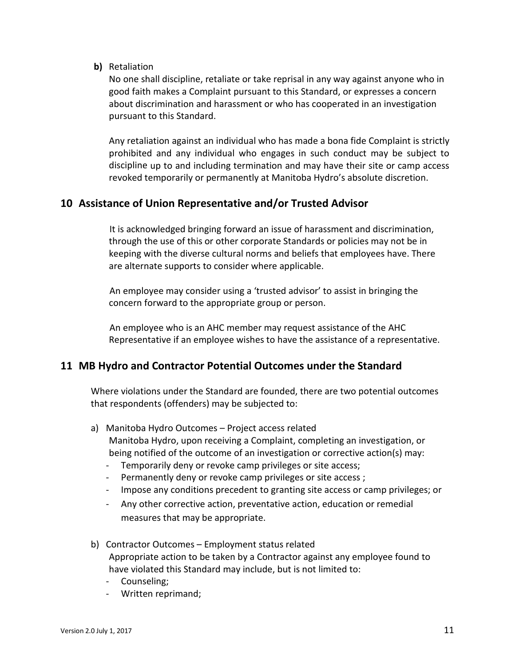**b)** Retaliation

No one shall discipline, retaliate or take reprisal in any way against anyone who in good faith makes a Complaint pursuant to this Standard, or expresses a concern about discrimination and harassment or who has cooperated in an investigation pursuant to this Standard.

Any retaliation against an individual who has made a bona fide Complaint is strictly prohibited and any individual who engages in such conduct may be subject to discipline up to and including termination and may have their site or camp access revoked temporarily or permanently at Manitoba Hydro's absolute discretion.

## <span id="page-10-0"></span>**10 Assistance of Union Representative and/or Trusted Advisor**

It is acknowledged bringing forward an issue of harassment and discrimination, through the use of this or other corporate Standards or policies may not be in keeping with the diverse cultural norms and beliefs that employees have. There are alternate supports to consider where applicable.

An employee may consider using a 'trusted advisor' to assist in bringing the concern forward to the appropriate group or person.

An employee who is an AHC member may request assistance of the AHC Representative if an employee wishes to have the assistance of a representative.

## <span id="page-10-1"></span>**11 MB Hydro and Contractor Potential Outcomes under the Standard**

Where violations under the Standard are founded, there are two potential outcomes that respondents (offenders) may be subjected to:

- <span id="page-10-2"></span>a) Manitoba Hydro Outcomes – Project access related Manitoba Hydro, upon receiving a Complaint, completing an investigation, or being notified of the outcome of an investigation or corrective action(s) may:
	- Temporarily deny or revoke camp privileges or site access;
	- Permanently deny or revoke camp privileges or site access ;
	- Impose any conditions precedent to granting site access or camp privileges; or
	- Any other corrective action, preventative action, education or remedial measures that may be appropriate.
- <span id="page-10-3"></span>b) Contractor Outcomes – Employment status related Appropriate action to be taken by a Contractor against any employee found to have violated this Standard may include, but is not limited to:
	- Counseling;
	- Written reprimand;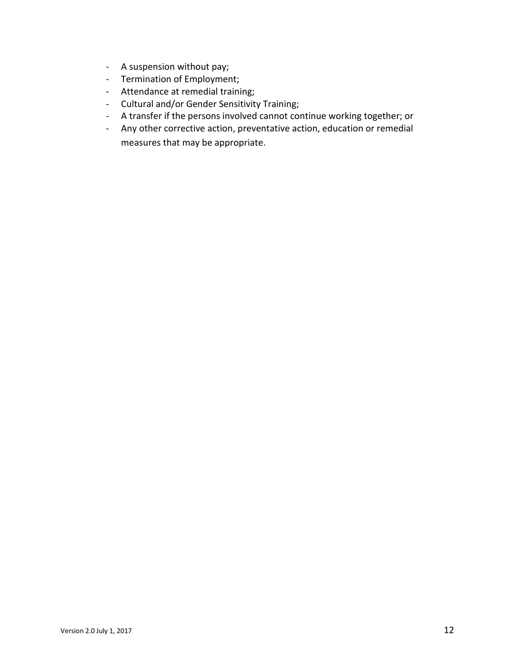- A suspension without pay;
- Termination of Employment;
- Attendance at remedial training;
- Cultural and/or Gender Sensitivity Training;
- A transfer if the persons involved cannot continue working together; or
- Any other corrective action, preventative action, education or remedial measures that may be appropriate.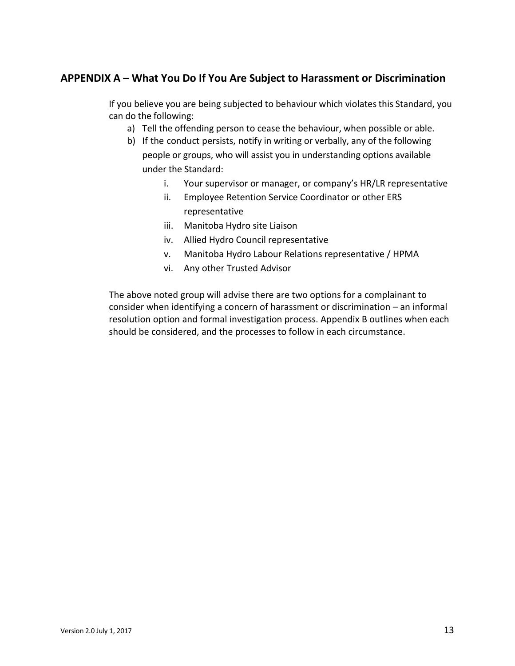# <span id="page-12-0"></span>**APPENDIX A – What You Do If You Are Subject to Harassment or Discrimination**

If you believe you are being subjected to behaviour which violates this Standard, you can do the following:

- a) Tell the offending person to cease the behaviour, when possible or able.
- b) If the conduct persists, notify in writing or verbally, any of the following people or groups, who will assist you in understanding options available under the Standard:
	- i. Your supervisor or manager, or company's HR/LR representative
	- ii. Employee Retention Service Coordinator or other ERS representative
	- iii. Manitoba Hydro site Liaison
	- iv. Allied Hydro Council representative
	- v. Manitoba Hydro Labour Relations representative / HPMA
	- vi. Any other Trusted Advisor

The above noted group will advise there are two options for a complainant to consider when identifying a concern of harassment or discrimination – an informal resolution option and formal investigation process. Appendix B outlines when each should be considered, and the processes to follow in each circumstance.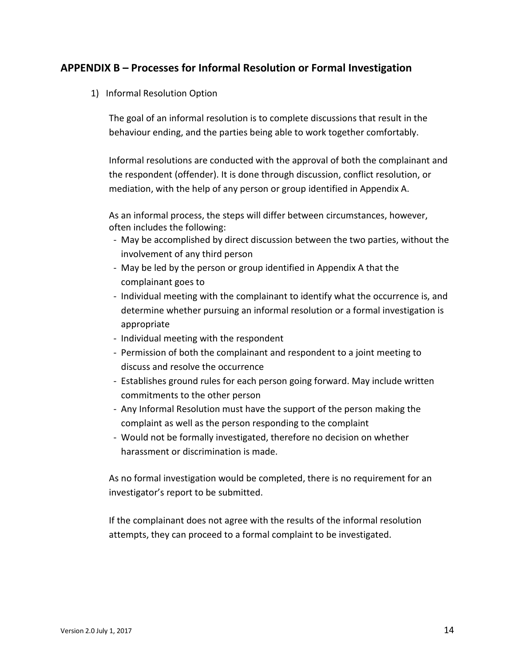## <span id="page-13-1"></span><span id="page-13-0"></span>**APPENDIX B – Processes for Informal Resolution or Formal Investigation**

1) Informal Resolution Option

The goal of an informal resolution is to complete discussions that result in the behaviour ending, and the parties being able to work together comfortably.

Informal resolutions are conducted with the approval of both the complainant and the respondent (offender). It is done through discussion, conflict resolution, or mediation, with the help of any person or group identified in Appendix A.

As an informal process, the steps will differ between circumstances, however, often includes the following:

- May be accomplished by direct discussion between the two parties, without the involvement of any third person
- May be led by the person or group identified in Appendix A that the complainant goes to
- Individual meeting with the complainant to identify what the occurrence is, and determine whether pursuing an informal resolution or a formal investigation is appropriate
- Individual meeting with the respondent
- Permission of both the complainant and respondent to a joint meeting to discuss and resolve the occurrence
- Establishes ground rules for each person going forward. May include written commitments to the other person
- Any Informal Resolution must have the support of the person making the complaint as well as the person responding to the complaint
- Would not be formally investigated, therefore no decision on whether harassment or discrimination is made.

As no formal investigation would be completed, there is no requirement for an investigator's report to be submitted.

If the complainant does not agree with the results of the informal resolution attempts, they can proceed to a formal complaint to be investigated.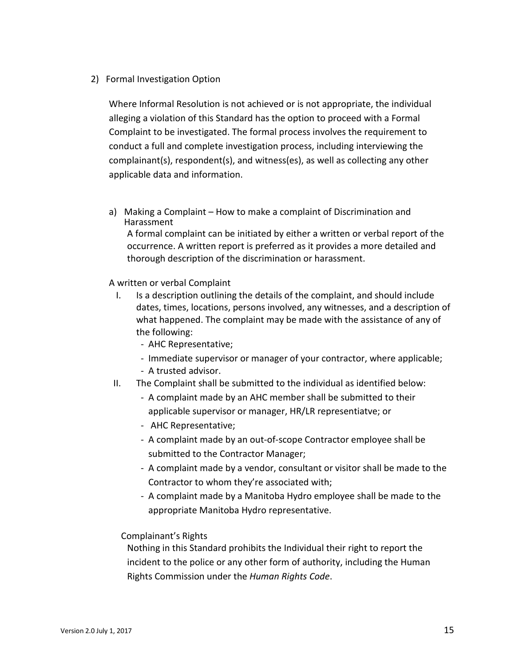### <span id="page-14-0"></span>2) Formal Investigation Option

Where Informal Resolution is not achieved or is not appropriate, the individual alleging a violation of this Standard has the option to proceed with a Formal Complaint to be investigated. The formal process involves the requirement to conduct a full and complete investigation process, including interviewing the complainant(s), respondent(s), and witness(es), as well as collecting any other applicable data and information.

<span id="page-14-1"></span>a) Making a Complaint – How to make a complaint of Discrimination and Harassment

A formal complaint can be initiated by either a written or verbal report of the occurrence. A written report is preferred as it provides a more detailed and thorough description of the discrimination or harassment.

A written or verbal Complaint

- I. Is a description outlining the details of the complaint, and should include dates, times, locations, persons involved, any witnesses, and a description of what happened. The complaint may be made with the assistance of any of the following:
	- AHC Representative;
	- Immediate supervisor or manager of your contractor, where applicable;
	- A trusted advisor.
- II. The Complaint shall be submitted to the individual as identified below:
	- A complaint made by an AHC member shall be submitted to their applicable supervisor or manager, HR/LR representiatve; or
	- AHC Representative;
	- A complaint made by an out-of-scope Contractor employee shall be submitted to the Contractor Manager;
	- A complaint made by a vendor, consultant or visitor shall be made to the Contractor to whom they're associated with;
	- A complaint made by a Manitoba Hydro employee shall be made to the appropriate Manitoba Hydro representative.

### Complainant's Rights

Nothing in this Standard prohibits the Individual their right to report the incident to the police or any other form of authority, including the Human Rights Commission under the *Human Rights Code*.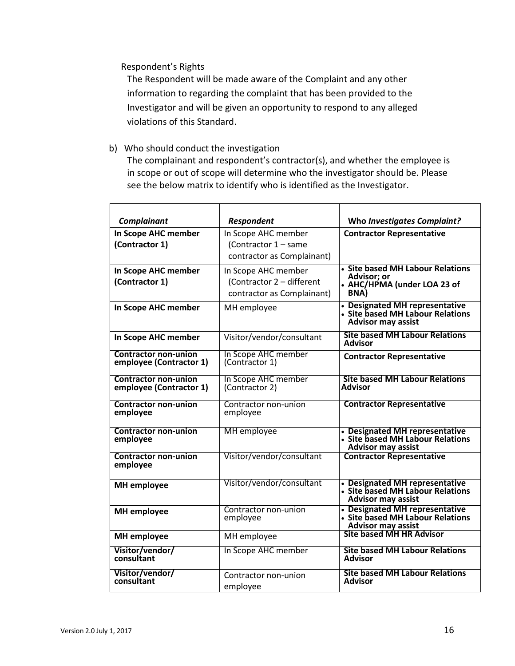Respondent's Rights

The Respondent will be made aware of the Complaint and any other information to regarding the complaint that has been provided to the Investigator and will be given an opportunity to respond to any alleged violations of this Standard.

<span id="page-15-0"></span>b) Who should conduct the investigation

The complainant and respondent's contractor(s), and whether the employee is in scope or out of scope will determine who the investigator should be. Please see the below matrix to identify who is identified as the Investigator.

| Complainant                                            | <b>Respondent</b>                     | Who Investigates Complaint?                                                                     |
|--------------------------------------------------------|---------------------------------------|-------------------------------------------------------------------------------------------------|
| In Scope AHC member                                    | In Scope AHC member                   | <b>Contractor Representative</b>                                                                |
| (Contractor 1)                                         | (Contractor 1 - same                  |                                                                                                 |
|                                                        | contractor as Complainant)            |                                                                                                 |
| In Scope AHC member                                    | In Scope AHC member                   | • Site based MH Labour Relations                                                                |
| (Contractor 1)                                         | (Contractor 2 - different             | <b>Advisor: or</b><br>• AHC/HPMA (under LOA 23 of                                               |
|                                                        | contractor as Complainant)            | BNA)                                                                                            |
| In Scope AHC member                                    | MH employee                           | • Designated MH representative<br>• Site based MH Labour Relations<br><b>Advisor may assist</b> |
| In Scope AHC member                                    | Visitor/vendor/consultant             | <b>Site based MH Labour Relations</b><br><b>Advisor</b>                                         |
| <b>Contractor non-union</b><br>employee (Contractor 1) | In Scope AHC member<br>(Contractor 1) | <b>Contractor Representative</b>                                                                |
| <b>Contractor non-union</b><br>employee (Contractor 1) | In Scope AHC member<br>(Contractor 2) | <b>Site based MH Labour Relations</b><br>Advisor                                                |
| <b>Contractor non-union</b><br>employee                | Contractor non-union<br>employee      | <b>Contractor Representative</b>                                                                |
| <b>Contractor non-union</b><br>employee                | <b>MH</b> employee                    | • Designated MH representative<br>• Site based MH Labour Relations<br><b>Advisor may assist</b> |
| <b>Contractor non-union</b><br>employee                | Visitor/vendor/consultant             | <b>Contractor Representative</b>                                                                |
| <b>MH</b> employee                                     | Visitor/vendor/consultant             | • Designated MH representative<br>• Site based MH Labour Relations<br><b>Advisor may assist</b> |
| <b>MH</b> employee                                     | Contractor non-union<br>employee      | • Designated MH representative<br>• Site based MH Labour Relations<br><b>Advisor may assist</b> |
| <b>MH</b> employee                                     | MH employee                           | <b>Site based MH HR Advisor</b>                                                                 |
| Visitor/vendor/<br>consultant                          | In Scope AHC member                   | <b>Site based MH Labour Relations</b><br><b>Advisor</b>                                         |
| Visitor/vendor/<br>consultant                          | Contractor non-union<br>employee      | <b>Site based MH Labour Relations</b><br>Advisor                                                |
|                                                        |                                       |                                                                                                 |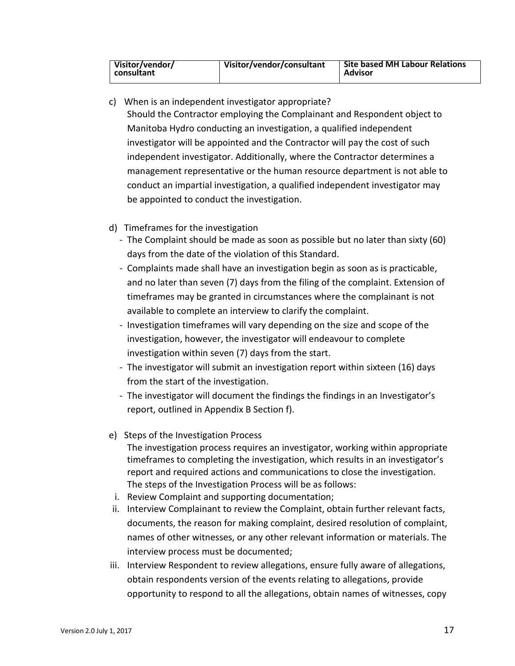| Visitor/vendor/<br>consultant | Visitor/vendor/consultant | <b>Site based MH Labour Relations</b><br><b>Advisor</b> |
|-------------------------------|---------------------------|---------------------------------------------------------|

- <span id="page-16-0"></span>c) When is an independent investigator appropriate? Should the Contractor employing the Complainant and Respondent object to Manitoba Hydro conducting an investigation, a qualified independent investigator will be appointed and the Contractor will pay the cost of such independent investigator. Additionally, where the Contractor determines a management representative or the human resource department is not able to conduct an impartial investigation, a qualified independent investigator may be appointed to conduct the investigation.
- <span id="page-16-1"></span>d) Timeframes for the investigation
	- The Complaint should be made as soon as possible but no later than sixty (60) days from the date of the violation of this Standard.
	- Complaints made shall have an investigation begin as soon as is practicable, and no later than seven (7) days from the filing of the complaint. Extension of timeframes may be granted in circumstances where the complainant is not available to complete an interview to clarify the complaint.
	- Investigation timeframes will vary depending on the size and scope of the investigation, however, the investigator will endeavour to complete investigation within seven (7) days from the start.
	- The investigator will submit an investigation report within sixteen (16) days from the start of the investigation.
	- The investigator will document the findings the findings in an Investigator's report, outlined in Appendix B Section f).
- <span id="page-16-2"></span>e) Steps of the Investigation Process
	- The investigation process requires an investigator, working within appropriate timeframes to completing the investigation, which results in an investigator's report and required actions and communications to close the investigation. The steps of the Investigation Process will be as follows:
- i. Review Complaint and supporting documentation;
- ii. Interview Complainant to review the Complaint, obtain further relevant facts, documents, the reason for making complaint, desired resolution of complaint, names of other witnesses, or any other relevant information or materials. The interview process must be documented;
- iii. Interview Respondent to review allegations, ensure fully aware of allegations, obtain respondents version of the events relating to allegations, provide opportunity to respond to all the allegations, obtain names of witnesses, copy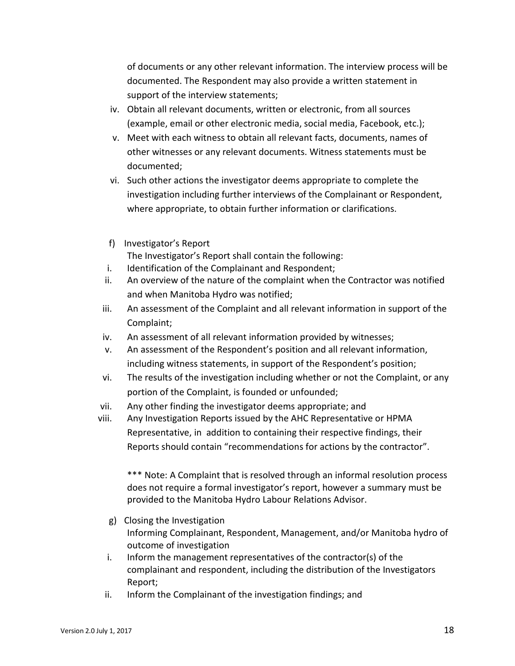of documents or any other relevant information. The interview process will be documented. The Respondent may also provide a written statement in support of the interview statements;

- iv. Obtain all relevant documents, written or electronic, from all sources (example, email or other electronic media, social media, Facebook, etc.);
- v. Meet with each witness to obtain all relevant facts, documents, names of other witnesses or any relevant documents. Witness statements must be documented;
- vi. Such other actions the investigator deems appropriate to complete the investigation including further interviews of the Complainant or Respondent, where appropriate, to obtain further information or clarifications.
- <span id="page-17-0"></span>f) Investigator's Report The Investigator's Report shall contain the following:
- i. Identification of the Complainant and Respondent;
- ii. An overview of the nature of the complaint when the Contractor was notified and when Manitoba Hydro was notified;
- iii. An assessment of the Complaint and all relevant information in support of the Complaint;
- iv. An assessment of all relevant information provided by witnesses;
- v. An assessment of the Respondent's position and all relevant information, including witness statements, in support of the Respondent's position;
- vi. The results of the investigation including whether or not the Complaint, or any portion of the Complaint, is founded or unfounded;
- vii. Any other finding the investigator deems appropriate; and
- viii. Any Investigation Reports issued by the AHC Representative or HPMA Representative, in addition to containing their respective findings, their Reports should contain "recommendations for actions by the contractor".

\*\*\* Note: A Complaint that is resolved through an informal resolution process does not require a formal investigator's report, however a summary must be provided to the Manitoba Hydro Labour Relations Advisor.

- <span id="page-17-1"></span>g) Closing the Investigation Informing Complainant, Respondent, Management, and/or Manitoba hydro of outcome of investigation
- i. Inform the management representatives of the contractor(s) of the complainant and respondent, including the distribution of the Investigators Report;
- ii. Inform the Complainant of the investigation findings; and